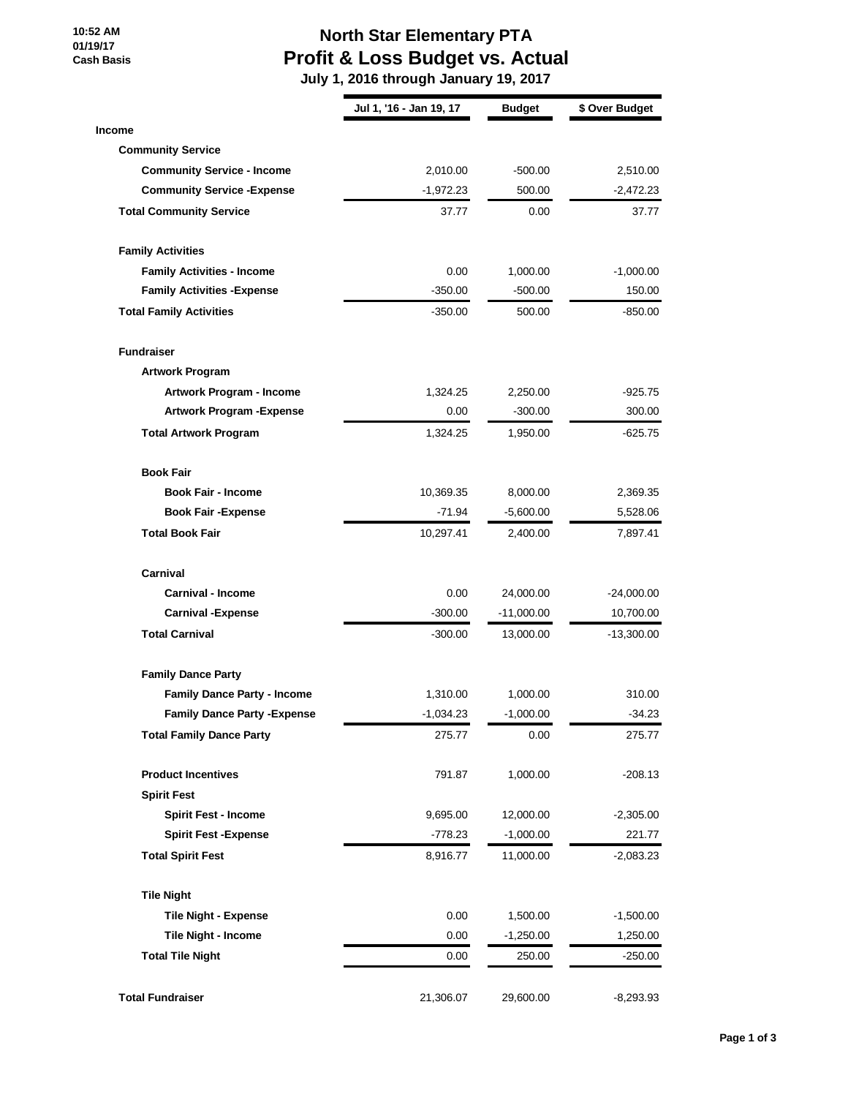**10:52 AM 01/19/17 Cash Basis**

### **North Star Elementary PTA Profit & Loss Budget vs. Actual**

 **July 1, 2016 through January 19, 2017**

|                                     | Jul 1, '16 - Jan 19, 17 | <b>Budget</b> | \$ Over Budget |
|-------------------------------------|-------------------------|---------------|----------------|
| <b>Income</b>                       |                         |               |                |
| <b>Community Service</b>            |                         |               |                |
| <b>Community Service - Income</b>   | 2,010.00                | $-500.00$     | 2,510.00       |
| <b>Community Service - Expense</b>  | $-1,972.23$             | 500.00        | $-2,472.23$    |
| <b>Total Community Service</b>      | 37.77                   | 0.00          | 37.77          |
| <b>Family Activities</b>            |                         |               |                |
| <b>Family Activities - Income</b>   | 0.00                    | 1,000.00      | $-1,000.00$    |
| <b>Family Activities - Expense</b>  | $-350.00$               | -500.00       | 150.00         |
| <b>Total Family Activities</b>      | $-350.00$               | 500.00        | $-850.00$      |
| <b>Fundraiser</b>                   |                         |               |                |
| <b>Artwork Program</b>              |                         |               |                |
| Artwork Program - Income            | 1,324.25                | 2,250.00      | $-925.75$      |
| <b>Artwork Program - Expense</b>    | 0.00                    | $-300.00$     | 300.00         |
| <b>Total Artwork Program</b>        | 1,324.25                | 1,950.00      | -625.75        |
| <b>Book Fair</b>                    |                         |               |                |
| <b>Book Fair - Income</b>           | 10,369.35               | 8,000.00      | 2,369.35       |
| <b>Book Fair - Expense</b>          | $-71.94$                | $-5,600.00$   | 5,528.06       |
| <b>Total Book Fair</b>              | 10,297.41               | 2,400.00      | 7,897.41       |
| Carnival                            |                         |               |                |
| <b>Carnival - Income</b>            | 0.00                    | 24,000.00     | $-24,000.00$   |
| <b>Carnival -Expense</b>            | $-300.00$               | $-11,000.00$  | 10,700.00      |
| <b>Total Carnival</b>               | $-300.00$               | 13,000.00     | -13,300.00     |
| <b>Family Dance Party</b>           |                         |               |                |
| <b>Family Dance Party - Income</b>  | 1,310.00                | 1,000.00      | 310.00         |
| <b>Family Dance Party - Expense</b> | $-1,034.23$             | $-1,000.00$   | $-34.23$       |
| <b>Total Family Dance Party</b>     | 275.77                  | 0.00          | 275.77         |
| <b>Product Incentives</b>           | 791.87                  | 1,000.00      | $-208.13$      |
| <b>Spirit Fest</b>                  |                         |               |                |
| <b>Spirit Fest - Income</b>         | 9,695.00                | 12,000.00     | $-2,305.00$    |
| <b>Spirit Fest -Expense</b>         | $-778.23$               | $-1,000.00$   | 221.77         |
| <b>Total Spirit Fest</b>            | 8,916.77                | 11,000.00     | $-2,083.23$    |
| <b>Tile Night</b>                   |                         |               |                |
| <b>Tile Night - Expense</b>         | 0.00                    | 1,500.00      | $-1,500.00$    |
| Tile Night - Income                 | 0.00                    | $-1,250.00$   | 1,250.00       |
| <b>Total Tile Night</b>             | 0.00                    | 250.00        | -250.00        |
| <b>Total Fundraiser</b>             | 21,306.07               | 29,600.00     | $-8,293.93$    |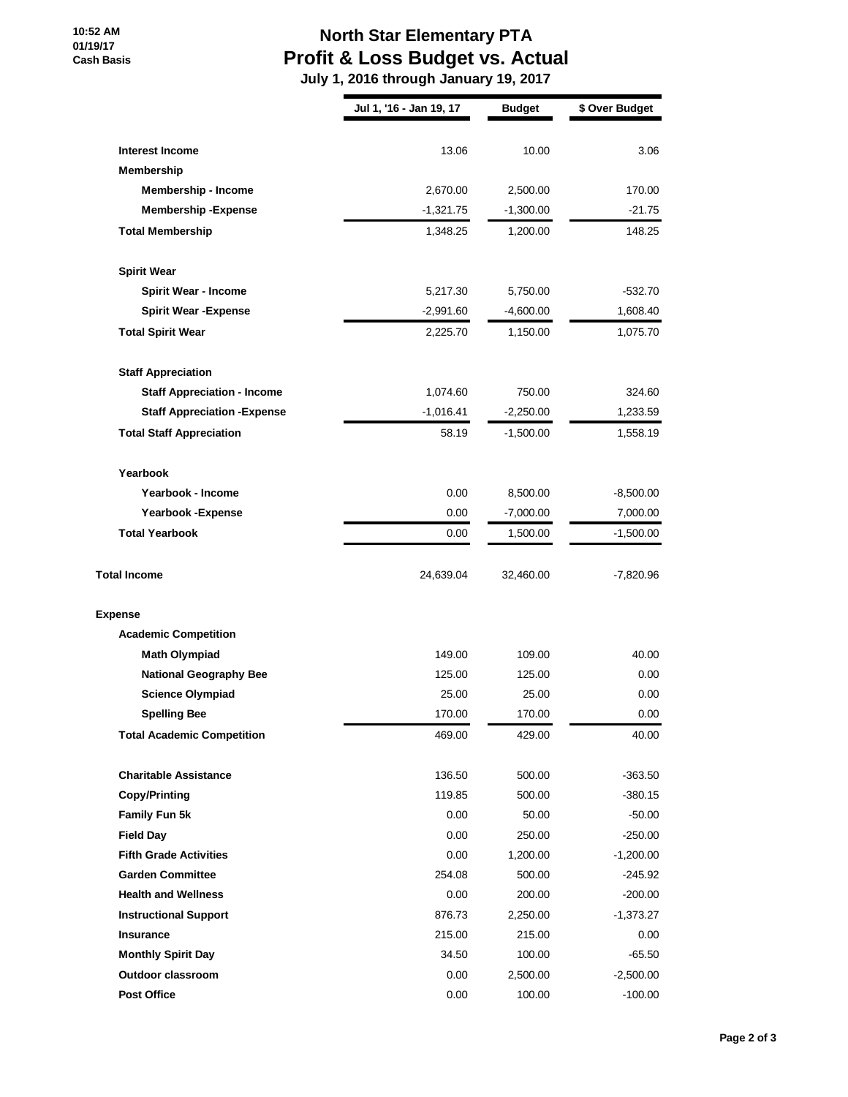### **10:52 AM 01/19/17 Cash Basis**

# **North Star Elementary PTA Profit & Loss Budget vs. Actual**

 **July 1, 2016 through January 19, 2017**

|                                     | Jul 1, '16 - Jan 19, 17 | <b>Budget</b> | \$ Over Budget |
|-------------------------------------|-------------------------|---------------|----------------|
|                                     |                         |               |                |
| <b>Interest Income</b>              | 13.06                   | 10.00         | 3.06           |
| Membership                          |                         |               |                |
| Membership - Income                 | 2,670.00                | 2,500.00      | 170.00         |
| <b>Membership - Expense</b>         | $-1,321.75$             | $-1,300.00$   | $-21.75$       |
| <b>Total Membership</b>             | 1,348.25                | 1,200.00      | 148.25         |
| <b>Spirit Wear</b>                  |                         |               |                |
| <b>Spirit Wear - Income</b>         | 5,217.30                | 5,750.00      | $-532.70$      |
| <b>Spirit Wear - Expense</b>        | $-2,991.60$             | $-4,600.00$   | 1,608.40       |
| <b>Total Spirit Wear</b>            | 2,225.70                | 1,150.00      | 1,075.70       |
| <b>Staff Appreciation</b>           |                         |               |                |
| <b>Staff Appreciation - Income</b>  | 1,074.60                | 750.00        | 324.60         |
| <b>Staff Appreciation - Expense</b> | $-1,016.41$             | $-2,250.00$   | 1,233.59       |
| <b>Total Staff Appreciation</b>     | 58.19                   | $-1,500.00$   | 1,558.19       |
| Yearbook                            |                         |               |                |
| Yearbook - Income                   | 0.00                    | 8,500.00      | $-8,500.00$    |
| Yearbook - Expense                  | 0.00                    | $-7,000.00$   | 7,000.00       |
| <b>Total Yearbook</b>               | 0.00                    | 1,500.00      | $-1,500.00$    |
| <b>Total Income</b>                 | 24,639.04               | 32,460.00     | -7,820.96      |
| <b>Expense</b>                      |                         |               |                |
| <b>Academic Competition</b>         |                         |               |                |
| <b>Math Olympiad</b>                | 149.00                  | 109.00        | 40.00          |
| <b>National Geography Bee</b>       | 125.00                  | 125.00        | 0.00           |
| <b>Science Olympiad</b>             | 25.00                   | 25.00         | 0.00           |
| <b>Spelling Bee</b>                 | 170.00                  | 170.00        | 0.00           |
| <b>Total Academic Competition</b>   | 469.00                  | 429.00        | 40.00          |
| <b>Charitable Assistance</b>        | 136.50                  | 500.00        | $-363.50$      |
| <b>Copy/Printing</b>                | 119.85                  | 500.00        | $-380.15$      |
| Family Fun 5k                       | 0.00                    | 50.00         | $-50.00$       |
| <b>Field Day</b>                    | 0.00                    | 250.00        | $-250.00$      |
| <b>Fifth Grade Activities</b>       | 0.00                    | 1,200.00      | $-1,200.00$    |
| <b>Garden Committee</b>             | 254.08                  | 500.00        | -245.92        |
| <b>Health and Wellness</b>          | 0.00                    | 200.00        | $-200.00$      |
| <b>Instructional Support</b>        | 876.73                  | 2,250.00      | $-1,373.27$    |
| <b>Insurance</b>                    | 215.00                  | 215.00        | 0.00           |
| <b>Monthly Spirit Day</b>           | 34.50                   | 100.00        | $-65.50$       |
| Outdoor classroom                   | 0.00                    | 2,500.00      | $-2,500.00$    |
| <b>Post Office</b>                  | 0.00                    | 100.00        | $-100.00$      |